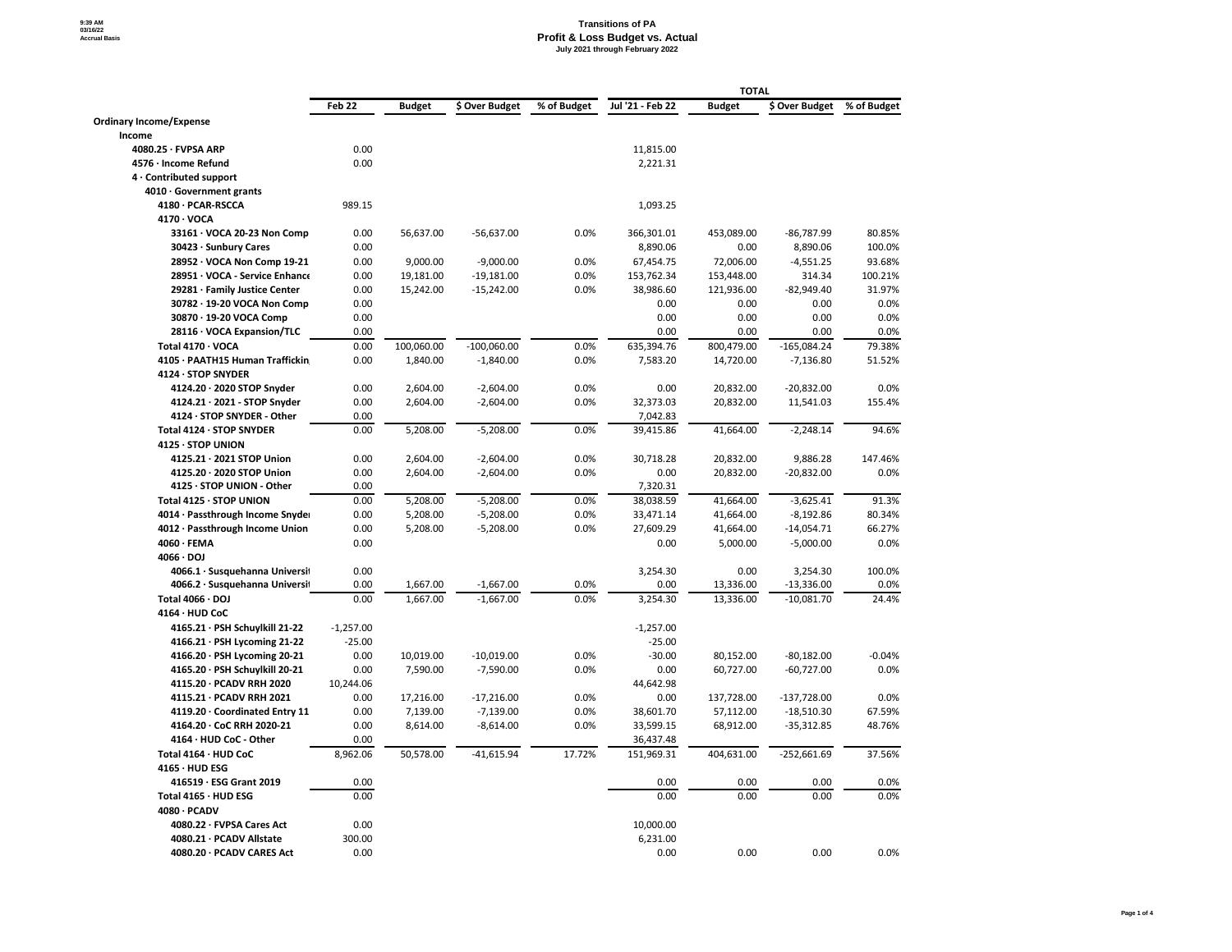|                                 |             | <b>TOTAL</b>  |                |             |                  |               |                |             |
|---------------------------------|-------------|---------------|----------------|-------------|------------------|---------------|----------------|-------------|
|                                 | Feb 22      | <b>Budget</b> | \$ Over Budget | % of Budget | Jul '21 - Feb 22 | <b>Budget</b> | \$ Over Budget | % of Budget |
| <b>Ordinary Income/Expense</b>  |             |               |                |             |                  |               |                |             |
| <b>Income</b>                   |             |               |                |             |                  |               |                |             |
| $4080.25 \cdot FVPSA ARP$       | 0.00        |               |                |             | 11,815.00        |               |                |             |
| 4576 · Income Refund            | 0.00        |               |                |             | 2,221.31         |               |                |             |
| 4 Contributed support           |             |               |                |             |                  |               |                |             |
| $4010 \cdot$ Government grants  |             |               |                |             |                  |               |                |             |
| 4180 · PCAR-RSCCA               | 989.15      |               |                |             | 1,093.25         |               |                |             |
| $4170 \cdot \text{VOCA}$        |             |               |                |             |                  |               |                |             |
| 33161 · VOCA 20-23 Non Comp     | 0.00        | 56,637.00     | $-56,637.00$   | 0.0%        | 366,301.01       | 453,089.00    | $-86,787.99$   | 80.85%      |
| 30423 · Sunbury Cares           | 0.00        |               |                |             | 8,890.06         | 0.00          | 8,890.06       | 100.0%      |
| 28952 · VOCA Non Comp 19-21     | 0.00        | 9,000.00      | $-9,000.00$    | 0.0%        | 67,454.75        | 72,006.00     | $-4,551.25$    | 93.68%      |
| 28951 · VOCA - Service Enhance  | 0.00        | 19,181.00     | $-19,181.00$   | 0.0%        | 153,762.34       | 153,448.00    | 314.34         | 100.21%     |
| 29281 · Family Justice Center   | 0.00        | 15,242.00     | $-15,242.00$   | 0.0%        | 38,986.60        | 121,936.00    | $-82,949.40$   | 31.97%      |
| 30782 · 19-20 VOCA Non Comp     | 0.00        |               |                |             | 0.00             | 0.00          | 0.00           | 0.0%        |
| 30870 · 19-20 VOCA Comp         | 0.00        |               |                |             | 0.00             | 0.00          | 0.00           | 0.0%        |
| 28116 · VOCA Expansion/TLC      | 0.00        |               |                |             | 0.00             | 0.00          | 0.00           | 0.0%        |
| Total 4170 · VOCA               | 0.00        | 100,060.00    | $-100,060.00$  | 0.0%        | 635,394.76       | 800,479.00    | $-165,084.24$  | 79.38%      |
| 4105 · PAATH15 Human Traffickin | 0.00        | 1,840.00      | $-1,840.00$    | 0.0%        | 7,583.20         | 14,720.00     | $-7,136.80$    | 51.52%      |
| 4124 · STOP SNYDER              |             |               |                |             |                  |               |                |             |
| 4124.20 · 2020 STOP Snyder      | 0.00        | 2,604.00      | $-2,604.00$    | 0.0%        | 0.00             | 20,832.00     | $-20,832.00$   | 0.0%        |
| 4124.21 · 2021 - STOP Snyder    | 0.00        | 2,604.00      | $-2,604.00$    | 0.0%        | 32,373.03        | 20,832.00     | 11,541.03      | 155.4%      |
| 4124 · STOP SNYDER - Other      | 0.00        |               |                |             | 7,042.83         |               |                |             |
| Total 4124 · STOP SNYDER        | 0.00        | 5,208.00      | $-5,208.00$    | 0.0%        | 39,415.86        | 41,664.00     | $-2,248.14$    | 94.6%       |
| 4125 · STOP UNION               |             |               |                |             |                  |               |                |             |
| 4125.21 · 2021 STOP Union       | 0.00        | 2,604.00      | $-2,604.00$    | 0.0%        | 30,718.28        | 20,832.00     | 9,886.28       | 147.46%     |
| 4125.20 · 2020 STOP Union       | 0.00        | 2,604.00      | $-2,604.00$    | 0.0%        | 0.00             | 20,832.00     | $-20,832.00$   | $0.0\%$     |
| 4125 · STOP UNION - Other       | 0.00        |               |                |             | 7,320.31         |               |                |             |
|                                 |             |               |                |             |                  |               |                |             |
| Total 4125 · STOP UNION         | 0.00        | 5,208.00      | $-5,208.00$    | 0.0%        | 38,038.59        | 41,664.00     | $-3,625.41$    | 91.3%       |
| 4014 · Passthrough Income Snyde | 0.00        | 5,208.00      | $-5,208.00$    | 0.0%        | 33,471.14        | 41,664.00     | $-8,192.86$    | 80.34%      |
| 4012 · Passthrough Income Union | 0.00        | 5,208.00      | $-5,208.00$    | 0.0%        | 27,609.29        | 41,664.00     | $-14,054.71$   | 66.27%      |
| $4060 \cdot FEMA$               | 0.00        |               |                |             | 0.00             | 5,000.00      | $-5,000.00$    | $0.0\%$     |
| $4066 \cdot DOJ$                |             |               |                |             |                  |               |                |             |
| 4066.1 · Susquehanna Universit  | 0.00        |               |                |             | 3,254.30         | 0.00          | 3,254.30       | 100.0%      |
| 4066.2 · Susquehanna Universit  | 0.00        | 1,667.00      | $-1,667.00$    | 0.0%        | 0.00             | 13,336.00     | $-13,336.00$   | $0.0\%$     |
| Total $4066 \cdot$ DOJ          | 0.00        | 1,667.00      | $-1,667.00$    | 0.0%        | 3,254.30         | 13,336.00     | $-10,081.70$   | 24.4%       |
| 4164 · HUD CoC                  |             |               |                |             |                  |               |                |             |
| 4165.21 · PSH Schuylkill 21-22  | $-1,257.00$ |               |                |             | $-1,257.00$      |               |                |             |
| 4166.21 · PSH Lycoming 21-22    | $-25.00$    |               |                |             | $-25.00$         |               |                |             |
| 4166.20 · PSH Lycoming 20-21    | 0.00        | 10,019.00     | $-10,019.00$   | 0.0%        | $-30.00$         | 80,152.00     | $-80,182.00$   | $-0.04%$    |
| 4165.20 · PSH Schuylkill 20-21  | 0.00        | 7,590.00      | $-7,590.00$    | 0.0%        | 0.00             | 60,727.00     | $-60,727.00$   | $0.0\%$     |
| 4115.20 · PCADV RRH 2020        | 10,244.06   |               |                |             | 44,642.98        |               |                |             |
| 4115.21 · PCADV RRH 2021        | 0.00        | 17,216.00     | $-17,216.00$   | 0.0%        | 0.00             | 137,728.00    | $-137,728.00$  | $0.0\%$     |
| 4119.20 · Coordinated Entry 11  | 0.00        | 7,139.00      | $-7,139.00$    | 0.0%        | 38,601.70        | 57,112.00     | $-18,510.30$   | 67.59%      |
| 4164.20 · CoC RRH 2020-21       | 0.00        | 8,614.00      | $-8,614.00$    | 0.0%        | 33,599.15        | 68,912.00     | $-35,312.85$   | 48.76%      |
| 4164 · HUD CoC - Other          | 0.00        |               |                |             | 36,437.48        |               |                |             |
| Total 4164 · HUD CoC            | 8,962.06    | 50,578.00     | $-41,615.94$   | 17.72%      | 151,969.31       | 404,631.00    | $-252,661.69$  | 37.56%      |
| $4165 \cdot HUD$ ESG            |             |               |                |             |                  |               |                |             |
| 416519 · ESG Grant 2019         | 0.00        |               |                |             | 0.00             | 0.00          | 0.00           | $0.0\%$     |
| Total 4165 · HUD ESG            | 0.00        |               |                |             | 0.00             | 0.00          | 0.00           | $0.0\%$     |
| 4080 · PCADV                    |             |               |                |             |                  |               |                |             |
| 4080.22 · FVPSA Cares Act       | 0.00        |               |                |             | 10,000.00        |               |                |             |
| 4080.21 · PCADV Allstate        | 300.00      |               |                |             | 6,231.00         |               |                |             |
| 4080.20 · PCADV CARES Act       | 0.00        |               |                |             | 0.00             | 0.00          | 0.00           | $0.0\%$     |
|                                 |             |               |                |             |                  |               |                |             |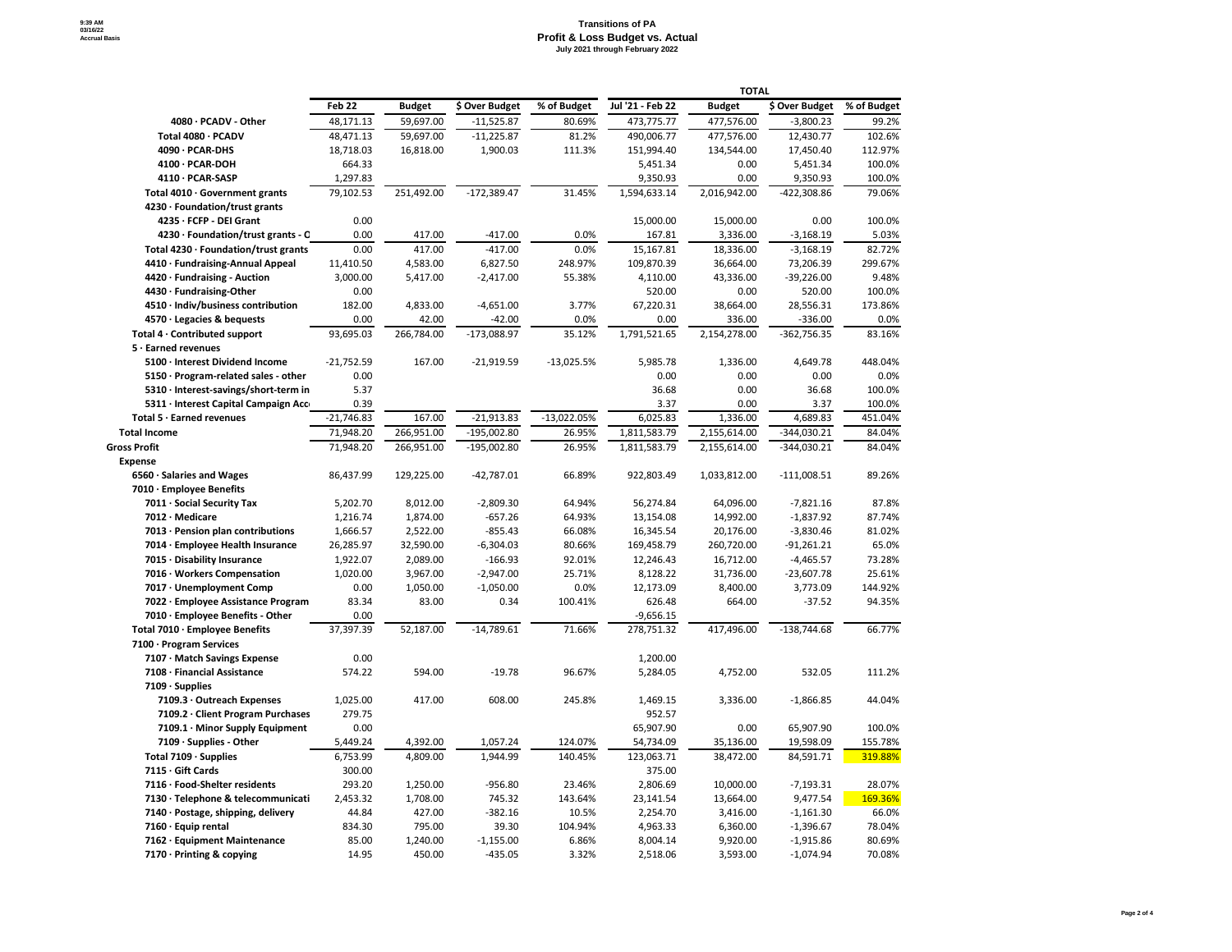|                                            | Feb 22       | <b>Budget</b> | \$ Over Budget | % of Budget   | Jul '21 - Feb 22 | <b>Budget</b> | \$ Over Budget | % of Budget |
|--------------------------------------------|--------------|---------------|----------------|---------------|------------------|---------------|----------------|-------------|
| 4080 · PCADV - Other                       | 48,171.13    | 59,697.00     | $-11,525.87$   | 80.69%        | 473,775.77       | 477,576.00    | $-3,800.23$    | 99.2%       |
| Total 4080 · PCADV                         | 48,471.13    | 59,697.00     | $-11,225.87$   | 81.2%         | 490,006.77       | 477,576.00    | 12,430.77      | 102.6%      |
| 4090 · PCAR-DHS                            | 18,718.03    | 16,818.00     | 1,900.03       | 111.3%        | 151,994.40       | 134,544.00    | 17,450.40      | 112.97%     |
| $4100 \cdot PCAR-DOH$                      | 664.33       |               |                |               | 5,451.34         | 0.00          | 5,451.34       | 100.0%      |
| 4110 · PCAR-SASP                           | 1,297.83     |               |                |               | 9,350.93         | 0.00          | 9,350.93       | 100.0%      |
| Total 4010 · Government grants             | 79,102.53    | 251,492.00    | $-172,389.47$  | 31.45%        | 1,594,633.14     | 2,016,942.00  | $-422,308.86$  | 79.06%      |
| $4230 \cdot$ Foundation/trust grants       |              |               |                |               |                  |               |                |             |
| 4235 · FCFP - DEI Grant                    | 0.00         |               |                |               | 15,000.00        | 15,000.00     | 0.00           | 100.0%      |
| 4230 · Foundation/trust grants - C         | 0.00         | 417.00        | $-417.00$      | 0.0%          | 167.81           | 3,336.00      | $-3,168.19$    | 5.03%       |
| Total 4230 · Foundation/trust grants       | 0.00         | 417.00        | $-417.00$      | 0.0%          | 15,167.81        | 18,336.00     | $-3,168.19$    | 82.72%      |
| 4410 · Fundraising-Annual Appeal           | 11,410.50    | 4,583.00      | 6,827.50       | 248.97%       | 109,870.39       | 36,664.00     | 73,206.39      | 299.67%     |
| 4420 · Fundraising - Auction               | 3,000.00     | 5,417.00      | $-2,417.00$    | 55.38%        | 4,110.00         | 43,336.00     | $-39,226.00$   | 9.48%       |
| 4430 · Fundraising-Other                   | 0.00         |               |                |               | 520.00           | 0.00          | 520.00         | 100.0%      |
| 4510 · Indiv/business contribution         | 182.00       | 4,833.00      | $-4,651.00$    | 3.77%         | 67,220.31        | 38,664.00     | 28,556.31      | 173.86%     |
| 4570 · Legacies & bequests                 | 0.00         | 42.00         | $-42.00$       | 0.0%          | 0.00             | 336.00        | $-336.00$      | 0.0%        |
| Total 4 · Contributed support              | 93,695.03    | 266,784.00    | $-173,088.97$  | 35.12%        | 1,791,521.65     | 2,154,278.00  | $-362,756.35$  | 83.16%      |
| $5 \cdot$ Earned revenues                  |              |               |                |               |                  |               |                |             |
| 5100 · Interest Dividend Income            | $-21,752.59$ | 167.00        | $-21,919.59$   | $-13,025.5%$  | 5,985.78         | 1,336.00      | 4,649.78       | 448.04%     |
| $5150 \cdot$ Program-related sales - other | 0.00         |               |                |               | 0.00             | 0.00          | 0.00           | 0.0%        |
| 5310 · Interest-savings/short-term in      | 5.37         |               |                |               | 36.68            | 0.00          | 36.68          | 100.0%      |
| 5311 · Interest Capital Campaign Acc       | 0.39         |               |                |               | 3.37             | 0.00          | 3.37           | 100.0%      |
| Total $5 \cdot$ Earned revenues            | $-21,746.83$ | 167.00        | $-21,913.83$   | $-13,022.05%$ | 6,025.83         | 1,336.00      | 4,689.83       | 451.04%     |
| <b>Total Income</b>                        | 71,948.20    | 266,951.00    | 195,002.80     | 26.95%        | 1,811,583.79     | 2,155,614.00  | -344,030.21    | 84.04%      |
| <b>Gross Profit</b>                        | 71,948.20    | 266,951.00    | $-195,002.80$  | 26.95%        | 1,811,583.79     | 2,155,614.00  | $-344,030.21$  | 84.04%      |
| <b>Expense</b>                             |              |               |                |               |                  |               |                |             |
| $6560 \cdot$ Salaries and Wages            | 86,437.99    | 129,225.00    | $-42,787.01$   | 66.89%        | 922,803.49       | 1,033,812.00  | $-111,008.51$  | 89.26%      |
| 7010 · Employee Benefits                   |              |               |                |               |                  |               |                |             |
| 7011 · Social Security Tax                 | 5,202.70     | 8,012.00      | $-2,809.30$    | 64.94%        | 56,274.84        | 64,096.00     | $-7,821.16$    | 87.8%       |
| 7012 · Medicare                            | 1,216.74     | 1,874.00      | $-657.26$      | 64.93%        | 13,154.08        | 14,992.00     | $-1,837.92$    | 87.74%      |
| $7013 \cdot$ Pension plan contributions    | 1,666.57     | 2,522.00      | $-855.43$      | 66.08%        | 16,345.54        | 20,176.00     | $-3,830.46$    | 81.02%      |
| 7014 · Employee Health Insurance           | 26,285.97    | 32,590.00     | $-6,304.03$    | 80.66%        | 169,458.79       | 260,720.00    | $-91,261.21$   | 65.0%       |
| 7015 · Disability Insurance                | 1,922.07     | 2,089.00      | $-166.93$      | 92.01%        | 12,246.43        | 16,712.00     | $-4,465.57$    | 73.28%      |
| 7016 · Workers Compensation                | 1,020.00     | 3,967.00      | $-2,947.00$    | 25.71%        | 8,128.22         | 31,736.00     | $-23,607.78$   | 25.61%      |
| 7017 · Unemployment Comp                   | 0.00         | 1,050.00      | $-1,050.00$    | 0.0%          | 12,173.09        | 8,400.00      | 3,773.09       | 144.92%     |
| 7022 · Employee Assistance Program         | 83.34        | 83.00         | 0.34           | 100.41%       | 626.48           | 664.00        | $-37.52$       | 94.35%      |
| 7010 · Employee Benefits - Other           | 0.00         |               |                |               | $-9,656.15$      |               |                |             |
| Total 7010 · Employee Benefits             | 37,397.39    | 52,187.00     | $-14,789.61$   | 71.66%        | 278,751.32       | 417,496.00    | $-138,744.68$  | 66.77%      |
| 7100 · Program Services                    |              |               |                |               |                  |               |                |             |
| 7107 · Match Savings Expense               | 0.00         |               |                |               | 1,200.00         |               |                |             |
| 7108 · Financial Assistance                | 574.22       | 594.00        | $-19.78$       | 96.67%        | 5,284.05         | 4,752.00      | 532.05         | 111.2%      |
| $7109 \cdot$ Supplies                      |              |               |                |               |                  |               |                |             |
| 7109.3 · Outreach Expenses                 | 1,025.00     | 417.00        | 608.00         | 245.8%        | 1,469.15         | 3,336.00      | $-1,866.85$    | 44.04%      |
| 7109.2 · Client Program Purchases          | 279.75       |               |                |               | 952.57           |               |                |             |
| 7109.1 · Minor Supply Equipment            | 0.00         |               |                |               | 65,907.90        | 0.00          | 65,907.90      | 100.0%      |
| 7109 · Supplies - Other                    | 5,449.24     | 4,392.00      | 1,057.24       | 124.07%       | 54,734.09        | 35,136.00     | 19,598.09      | 155.78%     |
| Total $7109 \cdot$ Supplies                | 6,753.99     | 4,809.00      | 1,944.99       | 140.45%       | 123,063.71       | 38,472.00     | 84,591.71      | 319.88%     |
| 7115 · Gift Cards                          | 300.00       |               |                |               | 375.00           |               |                |             |
| 7116 · Food-Shelter residents              | 293.20       | 1,250.00      | $-956.80$      | 23.46%        | 2,806.69         | 10,000.00     | $-7,193.31$    | 28.07%      |
| 7130 · Telephone & telecommunicati         | 2,453.32     | 1,708.00      | 745.32         | 143.64%       | 23,141.54        | 13,664.00     | 9,477.54       | 169.36%     |
| 7140 · Postage, shipping, delivery         | 44.84        | 427.00        | $-382.16$      | 10.5%         | 2,254.70         | 3,416.00      | $-1,161.30$    | 66.0%       |
| 7160 · Equip rental                        | 834.30       | 795.00        | 39.30          | 104.94%       | 4,963.33         | 6,360.00      | $-1,396.67$    | 78.04%      |
| 7162 · Equipment Maintenance               | 85.00        | 1,240.00      | $-1,155.00$    | 6.86%         | 8,004.14         | 9,920.00      | $-1,915.86$    | 80.69%      |
| 7170 · Printing & copying                  | 14.95        | 450.00        | $-435.05$      | 3.32%         | 2,518.06         | 3,593.00      | $-1,074.94$    | 70.08%      |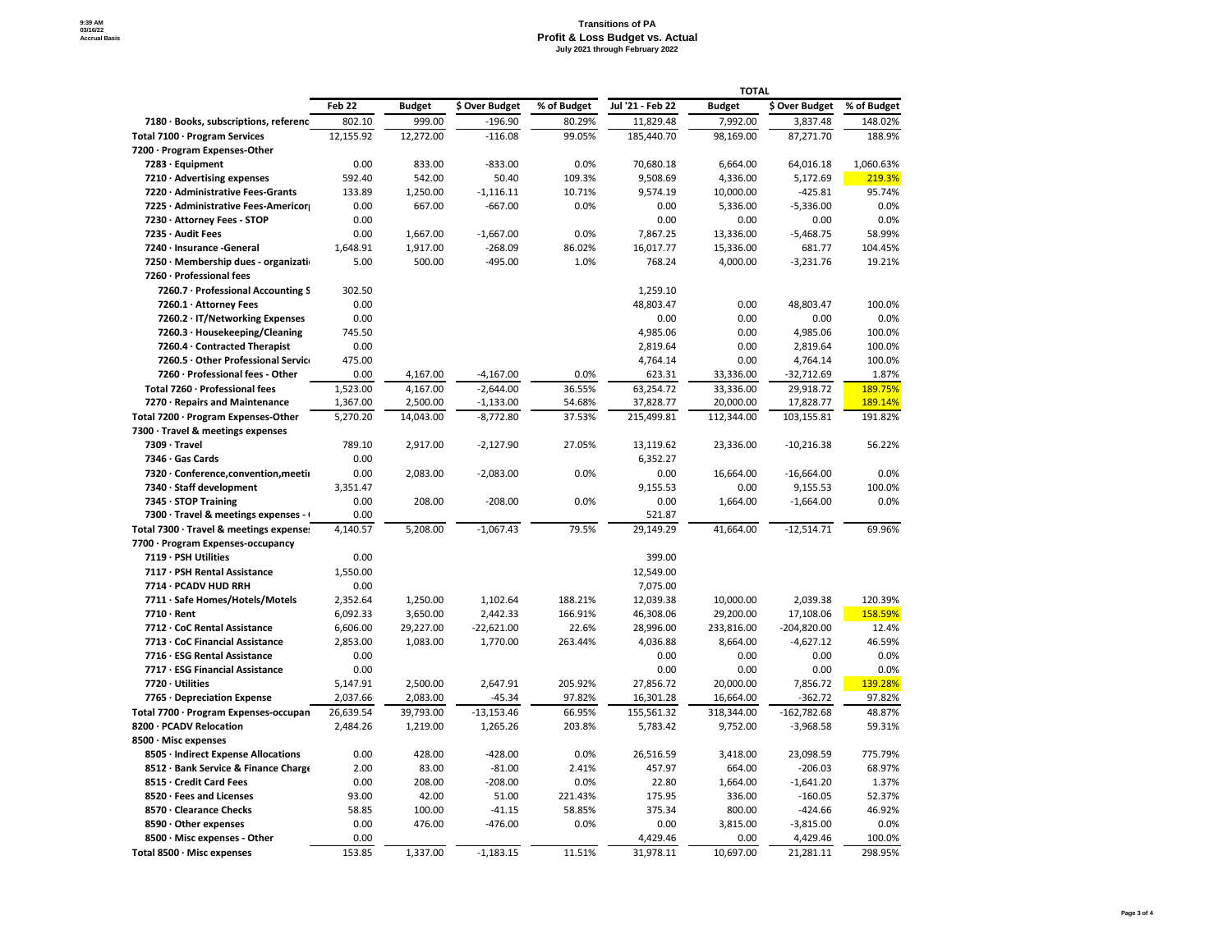|                                         | Feb 22    | <b>Budget</b> | \$ Over Budget | % of Budget | Jul '21 - Feb 22 | <b>Budget</b> | \$ Over Budget | % of Budget |
|-----------------------------------------|-----------|---------------|----------------|-------------|------------------|---------------|----------------|-------------|
| 7180 · Books, subscriptions, referenc   | 802.10    | 999.00        | $-196.90$      | 80.29%      | 11,829.48        | 7,992.00      | 3,837.48       | 148.02%     |
| Total 7100 · Program Services           | 12,155.92 | 12,272.00     | $-116.08$      | 99.05%      | 185,440.70       | 98,169.00     | 87,271.70      | 188.9%      |
| 7200 · Program Expenses-Other           |           |               |                |             |                  |               |                |             |
| $7283 \cdot$ Equipment                  | 0.00      | 833.00        | $-833.00$      | 0.0%        | 70,680.18        | 6,664.00      | 64,016.18      | 1,060.63%   |
| $7210 \cdot$ Advertising expenses       | 592.40    | 542.00        | 50.40          | 109.3%      | 9,508.69         | 4,336.00      | 5,172.69       | 219.3%      |
| 7220 · Administrative Fees-Grants       | 133.89    | 1,250.00      | $-1,116.11$    | 10.71%      | 9,574.19         | 10,000.00     | $-425.81$      | 95.74%      |
| 7225 · Administrative Fees-Americor     | 0.00      | 667.00        | $-667.00$      | 0.0%        | 0.00             | 5,336.00      | $-5,336.00$    | 0.0%        |
| 7230 · Attorney Fees - STOP             | 0.00      |               |                |             | 0.00             | 0.00          | 0.00           | 0.0%        |
| 7235 · Audit Fees                       | 0.00      | 1,667.00      | $-1,667.00$    | 0.0%        | 7,867.25         | 13,336.00     | $-5,468.75$    | 58.99%      |
| 7240 · Insurance - General              | 1,648.91  | 1,917.00      | $-268.09$      | 86.02%      | 16,017.77        | 15,336.00     | 681.77         | 104.45%     |
| 7250 · Membership dues - organizati     | 5.00      | 500.00        | $-495.00$      | 1.0%        | 768.24           | 4,000.00      | $-3,231.76$    | 19.21%      |
| 7260 · Professional fees                |           |               |                |             |                  |               |                |             |
| 7260.7 · Professional Accounting S      | 302.50    |               |                |             | 1,259.10         |               |                |             |
| 7260.1 · Attorney Fees                  | 0.00      |               |                |             | 48,803.47        | 0.00          | 48,803.47      | 100.0%      |
| 7260.2 · IT/Networking Expenses         | 0.00      |               |                |             | 0.00             | 0.00          | 0.00           | 0.0%        |
| 7260.3 · Housekeeping/Cleaning          | 745.50    |               |                |             | 4,985.06         | 0.00          | 4,985.06       | 100.0%      |
| 7260.4 · Contracted Therapist           | 0.00      |               |                |             | 2,819.64         | 0.00          | 2,819.64       | 100.0%      |
| 7260.5 · Other Professional Servic      | 475.00    |               |                |             | 4,764.14         | 0.00          | 4,764.14       | 100.0%      |
| 7260 · Professional fees - Other        | 0.00      | 4,167.00      | $-4,167.00$    | 0.0%        | 623.31           | 33,336.00     | $-32,712.69$   | 1.87%       |
| Total 7260 · Professional fees          | 1,523.00  | 4,167.00      | $-2,644.00$    | 36.55%      | 63,254.72        | 33,336.00     | 29,918.72      | 189.75%     |
| 7270 · Repairs and Maintenance          | 1,367.00  | 2,500.00      | $-1,133.00$    | 54.68%      | 37,828.77        | 20,000.00     | 17,828.77      | 189.14%     |
| Total 7200 · Program Expenses-Other     | 5,270.20  | 14,043.00     | $-8,772.80$    | 37.53%      | 215,499.81       | 112,344.00    | 103,155.81     | 191.82%     |
| 7300 · Travel & meetings expenses       |           |               |                |             |                  |               |                |             |
| 7309 · Travel                           | 789.10    | 2,917.00      | $-2,127.90$    | 27.05%      | 13,119.62        | 23,336.00     | $-10,216.38$   | 56.22%      |
| 7346 · Gas Cards                        | 0.00      |               |                |             | 6,352.27         |               |                |             |
| 7320 · Conference, convention, meetii   | 0.00      | 2,083.00      | $-2,083.00$    | 0.0%        | 0.00             | 16,664.00     | $-16,664.00$   | $0.0\%$     |
| 7340 · Staff development                | 3,351.47  |               |                |             | 9,155.53         | 0.00          | 9,155.53       | 100.0%      |
| $7345 \cdot$ STOP Training              | 0.00      | 208.00        | $-208.00$      | 0.0%        | 0.00             | 1,664.00      | $-1,664.00$    | 0.0%        |
| 7300 · Travel & meetings expenses -     | 0.00      |               |                |             | 521.87           |               |                |             |
| Total 7300 · Travel & meetings expense: | 4,140.57  | 5,208.00      | $-1,067.43$    | 79.5%       | 29,149.29        | 41,664.00     | $-12,514.71$   | 69.96%      |
| 7700 · Program Expenses-occupancy       |           |               |                |             |                  |               |                |             |
| 7119 · PSH Utilities                    | 0.00      |               |                |             | 399.00           |               |                |             |
| 7117 · PSH Rental Assistance            | 1,550.00  |               |                |             | 12,549.00        |               |                |             |
| 7714 · PCADV HUD RRH                    | 0.00      |               |                |             | 7,075.00         |               |                |             |
| 7711 · Safe Homes/Hotels/Motels         | 2,352.64  | 1,250.00      | 1,102.64       | 188.21%     | 12,039.38        | 10,000.00     | 2,039.38       | 120.39%     |
| $7710 \cdot$ Rent                       | 6,092.33  | 3,650.00      | 2,442.33       | 166.91%     | 46,308.06        | 29,200.00     | 17,108.06      | 158.59%     |
| 7712 · CoC Rental Assistance            | 6,606.00  | 29,227.00     | $-22,621.00$   | 22.6%       | 28,996.00        | 233,816.00    | $-204,820.00$  | 12.4%       |
| 7713 · CoC Financial Assistance         | 2,853.00  | 1,083.00      | 1,770.00       | 263.44%     | 4,036.88         | 8,664.00      | $-4,627.12$    | 46.59%      |
| 7716 · ESG Rental Assistance            | 0.00      |               |                |             | 0.00             | 0.00          | 0.00           | 0.0%        |
| 7717 · ESG Financial Assistance         | 0.00      |               |                |             | 0.00             | 0.00          | 0.00           | 0.0%        |
| 7720 · Utilities                        | 5,147.91  | 2,500.00      | 2,647.91       | 205.92%     | 27,856.72        | 20,000.00     | 7,856.72       | 139.28%     |
| $7765 \cdot$ Depreciation Expense       | 2,037.66  | 2,083.00      | $-45.34$       | 97.82%      | 16,301.28        | 16,664.00     | $-362.72$      | 97.82%      |
| Total 7700 · Program Expenses-occupan   | 26,639.54 | 39,793.00     | $-13,153.46$   | 66.95%      | 155,561.32       | 318,344.00    | $-162,782.68$  | 48.87%      |
| 8200 · PCADV Relocation                 | 2,484.26  | 1,219.00      | 1,265.26       | 203.8%      | 5,783.42         | 9,752.00      | $-3,968.58$    | 59.31%      |
| 8500 · Misc expenses                    |           |               |                |             |                  |               |                |             |
| 8505 · Indirect Expense Allocations     | 0.00      | 428.00        | $-428.00$      | 0.0%        | 26,516.59        | 3,418.00      | 23,098.59      | 775.79%     |
| 8512 · Bank Service & Finance Charge    | 2.00      | 83.00         | $-81.00$       | 2.41%       | 457.97           | 664.00        | $-206.03$      | 68.97%      |
| 8515 · Credit Card Fees                 | 0.00      | 208.00        | $-208.00$      | 0.0%        | 22.80            | 1,664.00      | $-1,641.20$    | 1.37%       |
| 8520 · Fees and Licenses                | 93.00     | 42.00         | 51.00          | 221.43%     | 175.95           | 336.00        | $-160.05$      | 52.37%      |
| 8570 · Clearance Checks                 | 58.85     | 100.00        | $-41.15$       | 58.85%      | 375.34           | 800.00        | $-424.66$      | 46.92%      |
| 8590 · Other expenses                   | 0.00      | 476.00        | $-476.00$      | 0.0%        | 0.00             | 3,815.00      | $-3,815.00$    | 0.0%        |
| 8500 · Misc expenses - Other            | 0.00      |               |                |             | 4,429.46         | 0.00          | 4,429.46       | 100.0%      |
| Total 8500 · Misc expenses              | 153.85    | 1,337.00      | $-1,183.15$    | 11.51%      | 31,978.11        | 10,697.00     | 21,281.11      | 298.95%     |